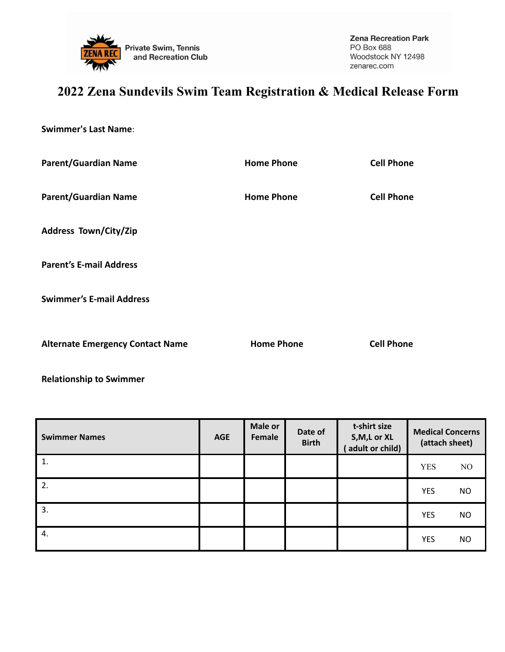

## **2022 Zena Sundevils Swim Team Registration & Medical Release Form**

**Swimmer's Last Name**:

| <b>Parent/Guardian Name</b>             | <b>Home Phone</b> | <b>Cell Phone</b> |  |
|-----------------------------------------|-------------------|-------------------|--|
| <b>Parent/Guardian Name</b>             | <b>Home Phone</b> | <b>Cell Phone</b> |  |
| <b>Address Town/City/Zip</b>            |                   |                   |  |
| <b>Parent's E-mail Address</b>          |                   |                   |  |
| <b>Swimmer's E-mail Address</b>         |                   |                   |  |
| <b>Alternate Emergency Contact Name</b> | <b>Home Phone</b> | <b>Cell Phone</b> |  |

**Relationship to Swimmer**

| <b>Swimmer Names</b> | <b>AGE</b> | <b>Male or</b><br><b>Female</b> | Date of<br><b>Birth</b> | t-shirt size<br>S, M, L or XL<br>adult or child) | <b>Medical Concerns</b><br>(attach sheet) |           |
|----------------------|------------|---------------------------------|-------------------------|--------------------------------------------------|-------------------------------------------|-----------|
| 1.                   |            |                                 |                         |                                                  | <b>YES</b>                                | NO        |
| 2.                   |            |                                 |                         |                                                  | <b>YES</b>                                | <b>NO</b> |
| 3.                   |            |                                 |                         |                                                  | <b>YES</b>                                | <b>NO</b> |
| 4.                   |            |                                 |                         |                                                  | <b>YES</b>                                | <b>NO</b> |